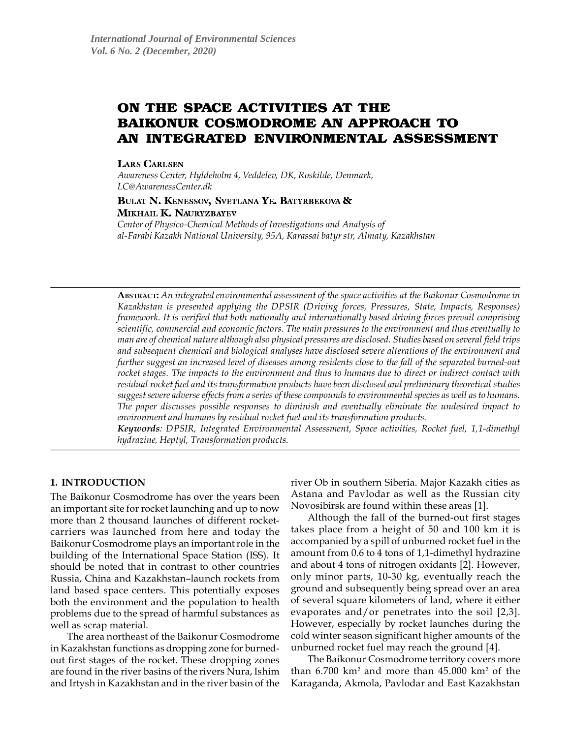# ON THE SPACE ACTIVITIES AT THE **BAIKONUR COSMODROME AN APPROACH TO** AN INTEGRATED ENVIRONMENTAL ASSESSMENT

**LARS CARLSEN** 

*Awareness Center, Hyldeholm 4, Veddelev, DK, Roskilde, Denmark, LC@AwarenessCenter.dk*

# BULAT N. KENESSOV, SVETLANA YE. BATYRBEKOVA &

MIKHAIL K. NAURYZBAYEV

**Center of Physico-Chemical Methods of Investigations and Analysis of** *alFarabi Kazakh National University, 95A, Karassai batyr str, Almaty, Kazakhstan*

**ABSTRACT:** *An integrated environmental assessment of the space activities at the Baikonur Cosmodrome in Kazakhstan is presented applying the DPSIR (Driving forces, Pressures, State, Impacts, Responses) framework. It is verified that both nationally and internationally based driving forces prevail comprising scientific, commercial and economic factors. The main pressures to the environment and thus eventually to man are of chemical nature although also physical pressures are disclosed. Studies based on several field trips and subsequent chemical and biological analyses have disclosed severe alterations of the environment and further suggest an increased level of diseases among residents close to the fall of the separated burned-out rocket stages. The impacts to the environment and thus to humans due to direct or indirect contact with residual rocket fuel and its transformation products have been disclosed and preliminary theoretical studies suggest severe adverse effects from a series of these compounds to environmental species as well as to humans. The paper discusses possible responses to diminish and eventually eliminate the undesired impact to environment and humans by residual rocket fuel and its transformation products.*

*Keywords: DPSIR, Integrated Environmental Assessment, Space activities, Rocket fuel, 1,1-dimethyl hydrazine, Heptyl, Transformation products.*

# **1. INTRODUCTION**

The Baikonur Cosmodrome has over the years been an important site for rocket launching and up to now more than 2 thousand launches of different rocketcarriers was launched from here and today the Baikonur Cosmodrome plays an important role in the building of the International Space Station (ISS). It should be noted that in contrast to other countries Russia, China and Kazakhstan–launch rockets from land based space centers. This potentially exposes both the environment and the population to health problems due to the spread of harmful substances as well as scrap material.

The area northeast of the Baikonur Cosmodrome in Kazakhstan functions as dropping zone for burnedout first stages of the rocket. These dropping zones are found in the river basins of the rivers Nura, Ishim and Irtysh in Kazakhstan and in the river basin of the river Ob in southern Siberia. Major Kazakh cities as Astana and Pavlodar as well as the Russian city Novosibirsk are found within these areas [1].

Although the fall of the burned-out first stages takes place from a height of 50 and 100 km it is accompanied by a spill of unburned rocket fuel in the amount from 0.6 to 4 tons of 1,1-dimethyl hydrazine and about 4 tons of nitrogen oxidants [2]. However, only minor parts, 10-30 kg, eventually reach the ground and subsequently being spread over an area of several square kilometers of land, where it either evaporates and/or penetrates into the soil [2,3]. However, especially by rocket launches during the cold winter season significant higher amounts of the unburned rocket fuel may reach the ground [4].

The Baikonur Cosmodrome territory covers more than 6.700 km² and more than 45.000 km² of the Karaganda, Akmola, Pavlodar and East Kazakhstan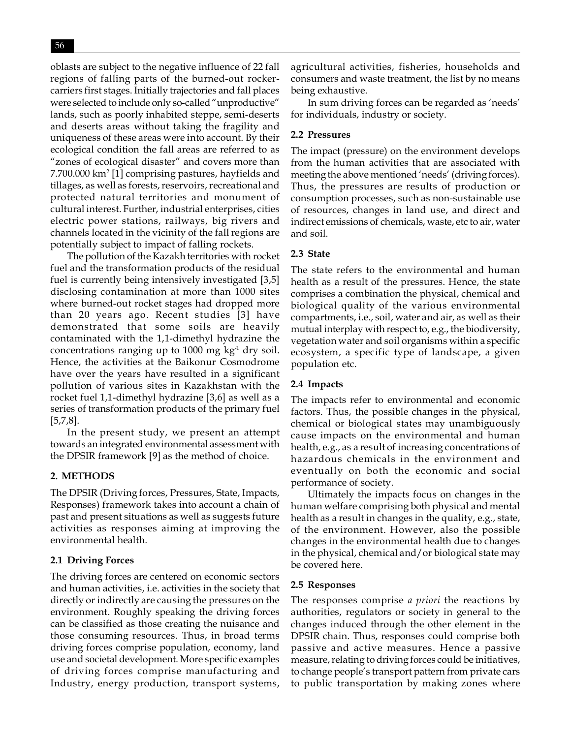oblasts are subject to the negative influence of 22 fall regions of falling parts of the burned-out rockercarriers first stages. Initially trajectories and fall places were selected to include only so-called "unproductive" lands, such as poorly inhabited steppe, semi-deserts and deserts areas without taking the fragility and uniqueness of these areas were into account. By their ecological condition the fall areas are referred to as "zones of ecological disaster" and covers more than 7.700.000 km2 [1] comprising pastures, hayfields and tillages, as well as forests, reservoirs, recreational and protected natural territories and monument of cultural interest. Further, industrial enterprises, cities electric power stations, railways, big rivers and channels located in the vicinity of the fall regions are potentially subject to impact of falling rockets.

The pollution of the Kazakh territories with rocket fuel and the transformation products of the residual fuel is currently being intensively investigated [3,5] disclosing contamination at more than 1000 sites where burned-out rocket stages had dropped more than 20 years ago. Recent studies [3] have demonstrated that some soils are heavily contaminated with the 1,1-dimethyl hydrazine the concentrations ranging up to 1000 mg  $kg<sup>-1</sup>$  dry soil. Hence, the activities at the Baikonur Cosmodrome have over the years have resulted in a significant pollution of various sites in Kazakhstan with the rocket fuel 1,1-dimethyl hydrazine [3,6] as well as a series of transformation products of the primary fuel [5,7,8].

In the present study, we present an attempt towards an integrated environmental assessment with the DPSIR framework [9] as the method of choice.

# **2. METHODS**

The DPSIR (Driving forces, Pressures, State, Impacts, Responses) framework takes into account a chain of past and present situations as well as suggests future activities as responses aiming at improving the environmental health.

# **2.1 Driving Forces**

The driving forces are centered on economic sectors and human activities, i.e. activities in the society that directly or indirectly are causing the pressures on the environment. Roughly speaking the driving forces can be classified as those creating the nuisance and those consuming resources. Thus, in broad terms driving forces comprise population, economy, land use and societal development. More specific examples of driving forces comprise manufacturing and Industry, energy production, transport systems,

agricultural activities, fisheries, households and consumers and waste treatment, the list by no means being exhaustive.

In sum driving forces can be regarded as 'needs' for individuals, industry or society.

# **2.2 Pressures**

The impact (pressure) on the environment develops from the human activities that are associated with meeting the above mentioned 'needs' (driving forces). Thus, the pressures are results of production or consumption processes, such as non-sustainable use of resources, changes in land use, and direct and indirect emissions of chemicals, waste, etc to air, water and soil.

# **2.3 State**

The state refers to the environmental and human health as a result of the pressures. Hence, the state comprises a combination the physical, chemical and biological quality of the various environmental compartments, i.e., soil, water and air, as well as their mutual interplay with respect to, e.g., the biodiversity, vegetation water and soil organisms within a specific ecosystem, a specific type of landscape, a given population etc.

# **2.4 Impacts**

The impacts refer to environmental and economic factors. Thus, the possible changes in the physical, chemical or biological states may unambiguously cause impacts on the environmental and human health, e.g., as a result of increasing concentrations of hazardous chemicals in the environment and eventually on both the economic and social performance of society.

Ultimately the impacts focus on changes in the human welfare comprising both physical and mental health as a result in changes in the quality, e.g., state, of the environment. However, also the possible changes in the environmental health due to changes in the physical, chemical and/or biological state may be covered here.

# **2.5 Responses**

The responses comprise *a priori* the reactions by authorities, regulators or society in general to the changes induced through the other element in the DPSIR chain. Thus, responses could comprise both passive and active measures. Hence a passive measure, relating to driving forces could be initiatives, to change people's transport pattern from private cars to public transportation by making zones where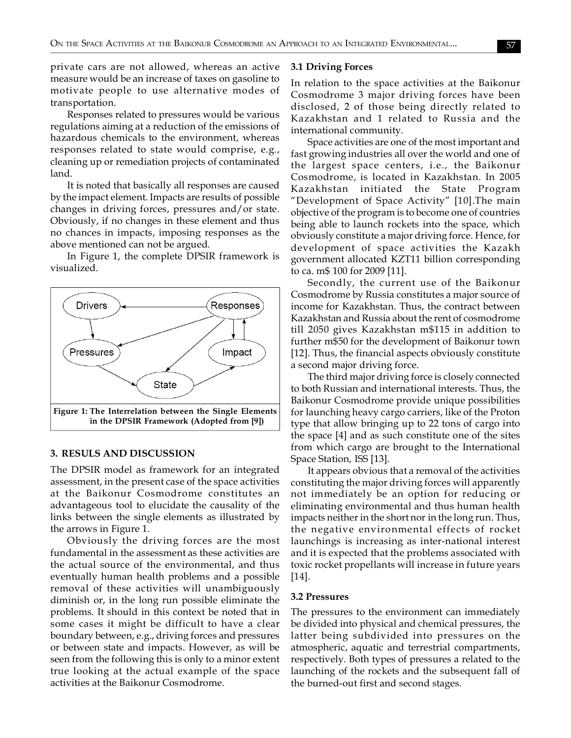private cars are not allowed, whereas an active measure would be an increase of taxes on gasoline to motivate people to use alternative modes of transportation.

Responses related to pressures would be various regulations aiming at a reduction of the emissions of hazardous chemicals to the environment, whereas responses related to state would comprise, e.g., cleaning up or remediation projects of contaminated land.

It is noted that basically all responses are caused by the impact element. Impacts are results of possible changes in driving forces, pressures and/or state. Obviously, if no changes in these element and thus no chances in impacts, imposing responses as the above mentioned can not be argued.

In Figure 1, the complete DPSIR framework is visualized.



#### **3. RESULS AND DISCUSSION**

The DPSIR model as framework for an integrated assessment, in the present case of the space activities at the Baikonur Cosmodrome constitutes an advantageous tool to elucidate the causality of the links between the single elements as illustrated by the arrows in Figure 1.

Obviously the driving forces are the most fundamental in the assessment as these activities are the actual source of the environmental, and thus eventually human health problems and a possible removal of these activities will unambiguously diminish or, in the long run possible eliminate the problems. It should in this context be noted that in some cases it might be difficult to have a clear boundary between, e.g., driving forces and pressures or between state and impacts. However, as will be seen from the following this is only to a minor extent true looking at the actual example of the space activities at the Baikonur Cosmodrome.

### **3.1 Driving Forces**

In relation to the space activities at the Baikonur Cosmodrome 3 major driving forces have been disclosed, 2 of those being directly related to Kazakhstan and 1 related to Russia and the international community.

Space activities are one of the most important and fast growing industries all over the world and one of the largest space centers, i.e., the Baikonur Cosmodrome, is located in Kazakhstan. In 2005 Kazakhstan initiated the State Program "Development of Space Activity" [10].The main objective of the program is to become one of countries being able to launch rockets into the space, which obviously constitute a major driving force. Hence, for development of space activities the Kazakh government allocated KZT11 billion corresponding to ca. m\$ 100 for 2009 [11].

Secondly, the current use of the Baikonur Cosmodrome by Russia constitutes a major source of income for Kazakhstan. Thus, the contract between Kazakhstan and Russia about the rent of cosmodrome till 2050 gives Kazakhstan m\$115 in addition to further m\$50 for the development of Baikonur town [12]. Thus, the financial aspects obviously constitute a second major driving force.

The third major driving force is closely connected to both Russian and international interests. Thus, the Baikonur Cosmodrome provide unique possibilities for launching heavy cargo carriers, like of the Proton type that allow bringing up to 22 tons of cargo into the space [4] and as such constitute one of the sites from which cargo are brought to the International Space Station, ISS [13].

It appears obvious that a removal of the activities constituting the major driving forces will apparently not immediately be an option for reducing or eliminating environmental and thus human health impacts neither in the short nor in the long run. Thus, the negative environmental effects of rocket launchings is increasing as inter-national interest and it is expected that the problems associated with toxic rocket propellants will increase in future years [14].

#### **3.2 Pressures**

The pressures to the environment can immediately be divided into physical and chemical pressures, the latter being subdivided into pressures on the atmospheric, aquatic and terrestrial compartments, respectively. Both types of pressures a related to the launching of the rockets and the subsequent fall of the burned-out first and second stages.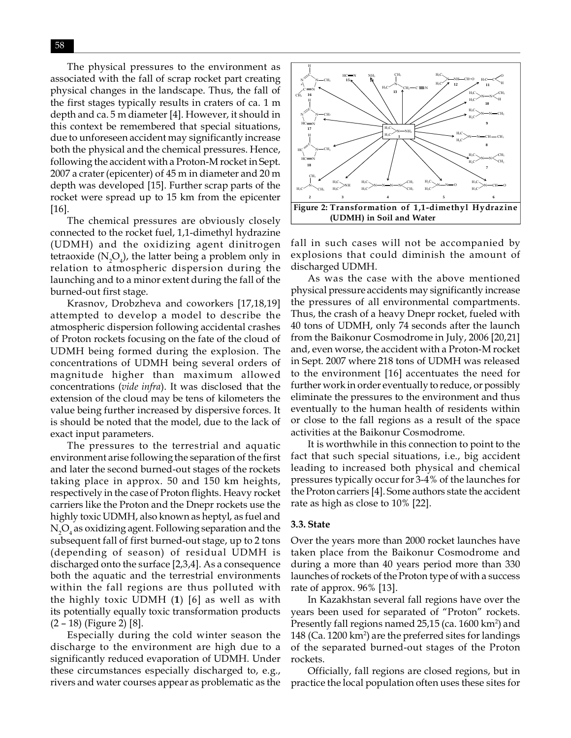The physical pressures to the environment as associated with the fall of scrap rocket part creating physical changes in the landscape. Thus, the fall of the first stages typically results in craters of ca. 1 m depth and ca. 5 m diameter [4]. However, it should in this context be remembered that special situations, due to unforeseen accident may significantly increase both the physical and the chemical pressures. Hence, following the accident with a Proton-M rocket in Sept. 2007 a crater (epicenter) of 45 m in diameter and 20 m depth was developed [15]. Further scrap parts of the rocket were spread up to 15 km from the epicenter [16].

The chemical pressures are obviously closely connected to the rocket fuel, 1,1-dimethyl hydrazine (UDMH) and the oxidizing agent dinitrogen tetraoxide (N<sub>2</sub>O<sub>4</sub>), the latter being a problem only in relation to atmospheric dispersion during the launching and to a minor extent during the fall of the burned-out first stage.

Krasnov, Drobzheva and coworkers [17,18,19] attempted to develop a model to describe the atmospheric dispersion following accidental crashes of Proton rockets focusing on the fate of the cloud of UDMH being formed during the explosion. The concentrations of UDMH being several orders of magnitude higher than maximum allowed concentrations (*vide infra*). It was disclosed that the extension of the cloud may be tens of kilometers the value being further increased by dispersive forces. It is should be noted that the model, due to the lack of exact input parameters.

The pressures to the terrestrial and aquatic environment arise following the separation of the first and later the second burned-out stages of the rockets taking place in approx. 50 and 150 km heights, respectively in the case of Proton flights. Heavy rocket carriers like the Proton and the Dnepr rockets use the highly toxic UDMH, also known as heptyl, as fuel and  $\rm N_{2}O_{4}$  as oxidizing agent. Following separation and the subsequent fall of first burned-out stage, up to 2 tons (depending of season) of residual UDMH is discharged onto the surface [2,3,4]. As a consequence both the aquatic and the terrestrial environments within the fall regions are thus polluted with the highly toxic UDMH (**1**) [6] as well as with its potentially equally toxic transformation products (2 – 18) (Figure 2) [8].

Especially during the cold winter season the discharge to the environment are high due to a significantly reduced evaporation of UDMH. Under these circumstances especially discharged to, e.g., rivers and water courses appear as problematic as the



fall in such cases will not be accompanied by explosions that could diminish the amount of discharged UDMH.

As was the case with the above mentioned physical pressure accidents may significantly increase the pressures of all environmental compartments. Thus, the crash of a heavy Dnepr rocket, fueled with 40 tons of UDMH, only 74 seconds after the launch from the Baikonur Cosmodrome in July, 2006 [20,21] and, even worse, the accident with a Proton-M rocket in Sept. 2007 where 218 tons of UDMH was released to the environment [16] accentuates the need for further work in order eventually to reduce, or possibly eliminate the pressures to the environment and thus eventually to the human health of residents within or close to the fall regions as a result of the space activities at the Baikonur Cosmodrome.

It is worthwhile in this connection to point to the fact that such special situations, i.e., big accident leading to increased both physical and chemical pressures typically occur for 3-4% of the launches for the Proton carriers [4]. Some authors state the accident rate as high as close to 10% [22].

### **3.3. State**

Over the years more than 2000 rocket launches have taken place from the Baikonur Cosmodrome and during a more than 40 years period more than 330 launches of rockets of the Proton type of with a success rate of approx. 96% [13].

In Kazakhstan several fall regions have over the years been used for separated of "Proton" rockets. Presently fall regions named 25,15 (ca. 1600 km²) and 148 (Ca. 1200 km²) are the preferred sites for landings of the separated burned-out stages of the Proton rockets.

Officially, fall regions are closed regions, but in practice the local population often uses these sites for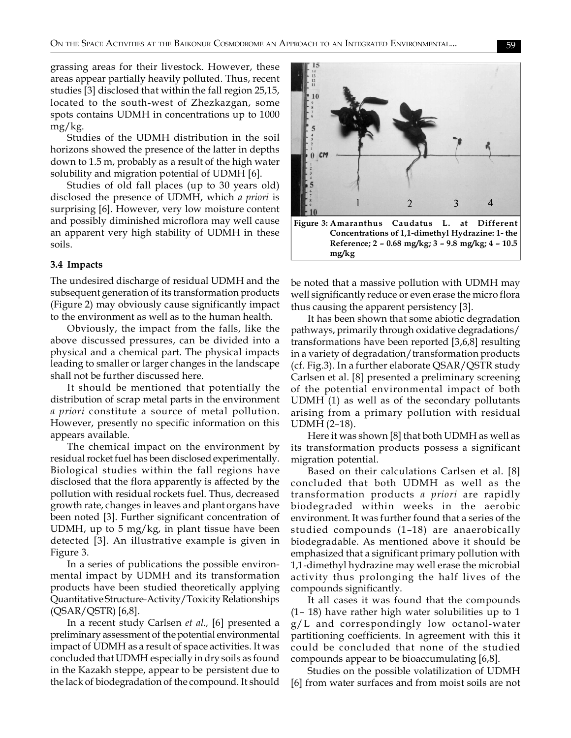grassing areas for their livestock. However, these areas appear partially heavily polluted. Thus, recent studies [3] disclosed that within the fall region 25,15, located to the south-west of Zhezkazgan, some spots contains UDMH in concentrations up to 1000 mg/kg.

Studies of the UDMH distribution in the soil horizons showed the presence of the latter in depths down to 1.5 m, probably as a result of the high water solubility and migration potential of UDMH [6].

Studies of old fall places (up to 30 years old) disclosed the presence of UDMH, which *a priori* is surprising [6]. However, very low moisture content and possibly diminished microflora may well cause an apparent very high stability of UDMH in these soils.

### **3.4 Impacts**

The undesired discharge of residual UDMH and the subsequent generation of its transformation products (Figure 2) may obviously cause significantly impact to the environment as well as to the human health.

Obviously, the impact from the falls, like the above discussed pressures, can be divided into a physical and a chemical part. The physical impacts leading to smaller or larger changes in the landscape shall not be further discussed here.

It should be mentioned that potentially the distribution of scrap metal parts in the environment *a priori* constitute a source of metal pollution. However, presently no specific information on this appears available.

The chemical impact on the environment by residual rocket fuel has been disclosed experimentally. Biological studies within the fall regions have disclosed that the flora apparently is affected by the pollution with residual rockets fuel. Thus, decreased growth rate, changes in leaves and plant organs have been noted [3]. Further significant concentration of UDMH, up to 5 mg/kg, in plant tissue have been detected [3]. An illustrative example is given in Figure 3.

In a series of publications the possible environmental impact by UDMH and its transformation products have been studied theoretically applying Quantitative Structure-Activity/Toxicity Relationships (QSAR/QSTR) [6,8].

In a recent study Carlsen *et al.,* [6] presented a preliminary assessment of the potential environmental impact of UDMH as a result of space activities. It was concluded that UDMH especially in dry soils as found in the Kazakh steppe, appear to be persistent due to the lack of biodegradation of the compound. It should



be noted that a massive pollution with UDMH may well significantly reduce or even erase the micro flora thus causing the apparent persistency [3].

It has been shown that some abiotic degradation pathways, primarily through oxidative degradations/ transformations have been reported [3,6,8] resulting in a variety of degradation/transformation products (cf. Fig.3). In a further elaborate QSAR/QSTR study Carlsen et al. [8] presented a preliminary screening of the potential environmental impact of both UDMH (1) as well as of the secondary pollutants arising from a primary pollution with residual UDMH (2–18).

Here it was shown [8] that both UDMH as well as its transformation products possess a significant migration potential.

Based on their calculations Carlsen et al. [8] concluded that both UDMH as well as the transformation products *a priori* are rapidly biodegraded within weeks in the aerobic environment. It was further found that a series of the studied compounds (1–18) are anaerobically biodegradable. As mentioned above it should be emphasized that a significant primary pollution with 1,1-dimethyl hydrazine may well erase the microbial activity thus prolonging the half lives of the compounds significantly.

It all cases it was found that the compounds (1– 18) have rather high water solubilities up to 1 g/L and correspondingly low octanol-water partitioning coefficients. In agreement with this it could be concluded that none of the studied compounds appear to be bioaccumulating [6,8].

Studies on the possible volatilization of UDMH [6] from water surfaces and from moist soils are not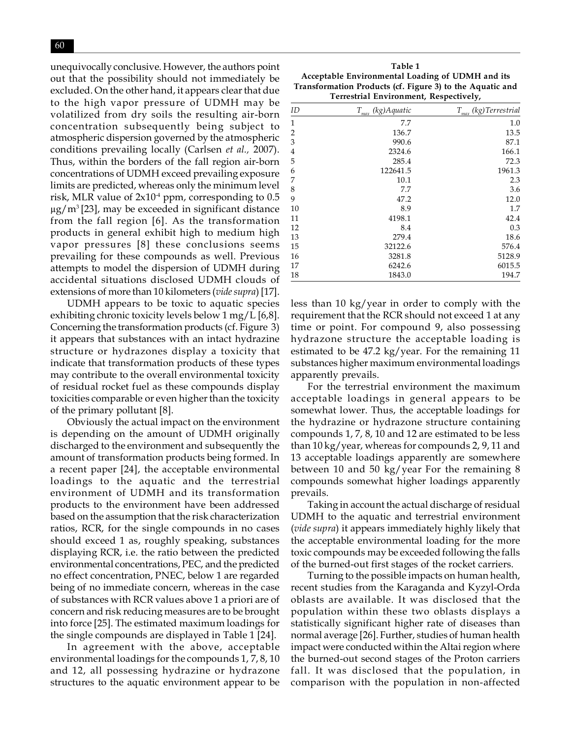unequivocally conclusive. However, the authors point out that the possibility should not immediately be excluded. On the other hand, it appears clear that due to the high vapor pressure of UDMH may be volatilized from dry soils the resulting air-born concentration subsequently being subject to atmospheric dispersion governed by the atmospheric conditions prevailing locally (Carlsen *et al.,* 2007). Thus, within the borders of the fall region air-born concentrations of UDMH exceed prevailing exposure limits are predicted, whereas only the minimum level risk, MLR value of  $2x10<sup>4</sup>$  ppm, corresponding to 0.5  $\mu$ g/m<sup>3</sup> [23], may be exceeded in significant distance from the fall region [6]. As the transformation products in general exhibit high to medium high vapor pressures [8] these conclusions seems prevailing for these compounds as well. Previous attempts to model the dispersion of UDMH during accidental situations disclosed UDMH clouds of extensions of more than 10 kilometers (*vide supra*) [17].

UDMH appears to be toxic to aquatic species exhibiting chronic toxicity levels below 1 mg/L [6,8]. Concerning the transformation products (cf. Figure 3) it appears that substances with an intact hydrazine structure or hydrazones display a toxicity that indicate that transformation products of these types may contribute to the overall environmental toxicity of residual rocket fuel as these compounds display toxicities comparable or even higher than the toxicity of the primary pollutant [8].

Obviously the actual impact on the environment is depending on the amount of UDMH originally discharged to the environment and subsequently the amount of transformation products being formed. In a recent paper [24], the acceptable environmental loadings to the aquatic and the terrestrial environment of UDMH and its transformation products to the environment have been addressed based on the assumption that the risk characterization ratios, RCR, for the single compounds in no cases should exceed 1 as, roughly speaking, substances displaying RCR, i.e. the ratio between the predicted environmental concentrations, PEC, and the predicted no effect concentration, PNEC, below 1 are regarded being of no immediate concern, whereas in the case of substances with RCR values above 1 a priori are of concern and risk reducing measures are to be brought into force [25]. The estimated maximum loadings for the single compounds are displayed in Table 1 [24].

In agreement with the above, acceptable environmental loadings for the compounds 1, 7, 8, 10 and 12, all possessing hydrazine or hydrazone structures to the aquatic environment appear to be

**Table 1 Acceptable Environmental Loading of UDMH and its Transformation Products (cf. Figure 3) to the Aquatic and Terrestrial Environment, Respectively,**

| ID             | $T_{\underline{\it max}}$<br>(kg)Aquatic | $T_{\underline{\it max}}$<br>(kg)Terrestrial |
|----------------|------------------------------------------|----------------------------------------------|
| 1              | 7.7                                      | 1.0                                          |
| $\overline{2}$ | 136.7                                    | 13.5                                         |
| 3              | 990.6                                    | 87.1                                         |
| 4              | 2324.6                                   | 166.1                                        |
| 5              | 285.4                                    | 72.3                                         |
| 6              | 122641.5                                 | 1961.3                                       |
| 7              | 10.1                                     | 2.3                                          |
| 8              | 7.7                                      | 3.6                                          |
| 9              | 47.2                                     | 12.0                                         |
| 10             | 8.9                                      | 1.7                                          |
| 11             | 4198.1                                   | 42.4                                         |
| 12             | 8.4                                      | 0.3                                          |
| 13             | 279.4                                    | 18.6                                         |
| 15             | 32122.6                                  | 576.4                                        |
| 16             | 3281.8                                   | 5128.9                                       |
| 17             | 6242.6                                   | 6015.5                                       |
| 18             | 1843.0                                   | 194.7                                        |

less than 10 kg/year in order to comply with the requirement that the RCR should not exceed 1 at any time or point. For compound 9, also possessing hydrazone structure the acceptable loading is estimated to be 47.2 kg/year. For the remaining 11 substances higher maximum environmental loadings apparently prevails.

For the terrestrial environment the maximum acceptable loadings in general appears to be somewhat lower. Thus, the acceptable loadings for the hydrazine or hydrazone structure containing compounds 1, 7, 8, 10 and 12 are estimated to be less than 10 kg/year, whereas for compounds 2, 9, 11 and 13 acceptable loadings apparently are somewhere between 10 and 50 kg/year For the remaining 8 compounds somewhat higher loadings apparently prevails.

Taking in account the actual discharge of residual UDMH to the aquatic and terrestrial environment (*vide supra*) it appears immediately highly likely that the acceptable environmental loading for the more toxic compounds may be exceeded following the falls of the burned-out first stages of the rocket carriers.

Turning to the possible impacts on human health, recent studies from the Karaganda and Kyzyl-Orda oblasts are available. It was disclosed that the population within these two oblasts displays a statistically significant higher rate of diseases than normal average [26]. Further, studies of human health impact were conducted within the Altai region where the burned-out second stages of the Proton carriers fall. It was disclosed that the population, in comparison with the population in non-affected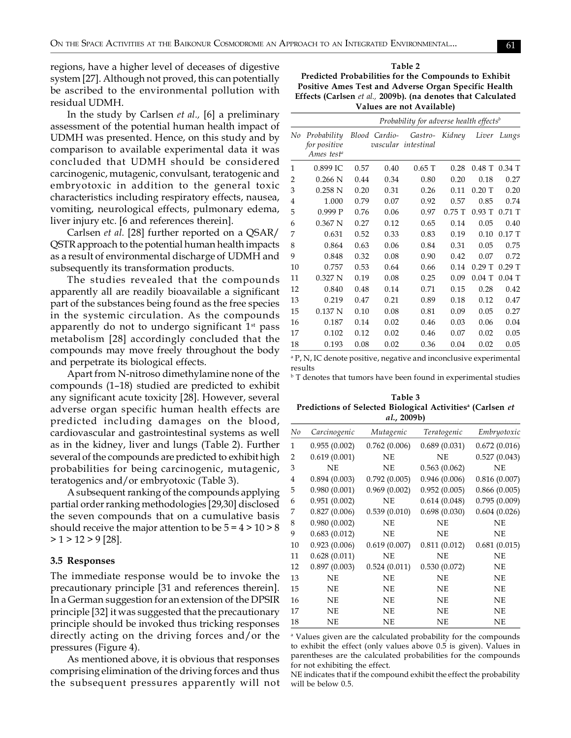regions, have a higher level of deceases of digestive system [27]. Although not proved, this can potentially be ascribed to the environmental pollution with residual UDMH.

In the study by Carlsen *et al.,* [6] a preliminary assessment of the potential human health impact of UDMH was presented. Hence, on this study and by comparison to available experimental data it was concluded that UDMH should be considered carcinogenic, mutagenic, convulsant, teratogenic and embryotoxic in addition to the general toxic characteristics including respiratory effects, nausea, vomiting, neurological effects, pulmonary edema, liver injury etc. [6 and references therein].

Carlsen *et al.* [28] further reported on a QSAR/ QSTR approach to the potential human health impacts as a result of environmental discharge of UDMH and subsequently its transformation products.

The studies revealed that the compounds apparently all are readily bioavailable a significant part of the substances being found as the free species in the systemic circulation. As the compounds apparently do not to undergo significant  $1<sup>st</sup>$  pass metabolism [28] accordingly concluded that the compounds may move freely throughout the body and perpetrate its biological effects.

Apart from N-nitroso dimethylamine none of the compounds (1–18) studied are predicted to exhibit any significant acute toxicity [28]. However, several adverse organ specific human health effects are predicted including damages on the blood, cardiovascular and gastrointestinal systems as well as in the kidney, liver and lungs (Table 2). Further several of the compounds are predicted to exhibit high probabilities for being carcinogenic, mutagenic, teratogenics and/or embryotoxic (Table 3).

A subsequent ranking of the compounds applying partial order ranking methodologies [29,30] disclosed the seven compounds that on a cumulative basis should receive the major attention to be  $5 = 4 > 10 > 8$  $> 1 > 12 > 9$  [28].

#### **3.5 Responses**

The immediate response would be to invoke the precautionary principle [31 and references therein]. In a German suggestion for an extension of the DPSIR principle [32] it was suggested that the precautionary principle should be invoked thus tricking responses directly acting on the driving forces and/or the pressures (Figure 4).

As mentioned above, it is obvious that responses comprising elimination of the driving forces and thus the subsequent pressures apparently will not

**Table 2 Predicted Probabilities for the Compounds to Exhibit Positive Ames Test and Adverse Organ Specific Health Effects (Carlsen** *et al.,* **2009b). (na denotes that Calculated Values are not Available)**

|                |                                                       | Probability for adverse health effects <sup>b</sup> |               |                                |          |          |          |
|----------------|-------------------------------------------------------|-----------------------------------------------------|---------------|--------------------------------|----------|----------|----------|
| No             | Probability<br>for positive<br>Ames test <sup>a</sup> |                                                     | Blood Cardio- | Gastro-<br>vascular intestinal | Kidney   | Liver    | Lungs    |
| 1              | 0.899 IC                                              | 0.57                                                | 0.40          | $0.65$ T                       | 0.28     | $0.48$ T | $0.34$ T |
| $\overline{2}$ | $0.266$ N                                             | 0.44                                                | 0.34          | 0.80                           | 0.20     | 0.18     | 0.27     |
| 3              | 0.258N                                                | 0.20                                                | 0.31          | 0.26                           | 0.11     | $0.20$ T | 0.20     |
| 4              | 1.000                                                 | 0.79                                                | 0.07          | 0.92                           | 0.57     | 0.85     | 0.74     |
| 5              | 0.999P                                                | 0.76                                                | 0.06          | 0.97                           | $0.75$ T | 0.93T    | $0.71$ T |
| 6              | 0.367 N                                               | 0.27                                                | 0.12          | 0.65                           | 0.14     | 0.05     | 0.40     |
| 7              | 0.631                                                 | 0.52                                                | 0.33          | 0.83                           | 0.19     | 0.10     | 0.17T    |
| 8              | 0.864                                                 | 0.63                                                | 0.06          | 0.84                           | 0.31     | 0.05     | 0.75     |
| 9              | 0.848                                                 | 0.32                                                | 0.08          | 0.90                           | 0.42     | 0.07     | 0.72     |
| 10             | 0.757                                                 | 0.53                                                | 0.64          | 0.66                           | 0.14     | $0.29$ T | $0.29$ T |
| 11             | 0.327 N                                               | 0.19                                                | 0.08          | 0.25                           | 0.09     | $0.04$ T | $0.04$ T |
| 12             | 0.840                                                 | 0.48                                                | 0.14          | 0.71                           | 0.15     | 0.28     | 0.42     |
| 13             | 0.219                                                 | 0.47                                                | 0.21          | 0.89                           | 0.18     | 0.12     | 0.47     |
| 15             | 0.137 N                                               | 0.10                                                | 0.08          | 0.81                           | 0.09     | 0.05     | 0.27     |
| 16             | 0.187                                                 | 0.14                                                | 0.02          | 0.46                           | 0.03     | 0.06     | 0.04     |
| 17             | 0.102                                                 | 0.12                                                | 0.02          | 0.46                           | 0.07     | 0.02     | 0.05     |
| 18             | 0.193                                                 | 0.08                                                | 0.02          | 0.36                           | 0.04     | 0.02     | 0.05     |

a P, N, IC denote positive, negative and inconclusive experimental results

 $^{\rm b}$  T denotes that tumors have been found in experimental studies

**Table 3 Predictions of Selected Biological Activitiesa (Carlsen** *et al.***, 2009b)**

| No             | Carcinogenic | Mutagenic    | Teratogenic  | Embryotoxic  |
|----------------|--------------|--------------|--------------|--------------|
| $\mathbf{1}$   | 0.955(0.002) | 0.762(0.006) | 0.689(0.031) | 0.672(0.016) |
| 2              | 0.619(0.001) | <b>NE</b>    | <b>NE</b>    | 0.527(0.043) |
| 3              | NE           | NE           | 0.563(0.062) | <b>NE</b>    |
| $\overline{4}$ | 0.894(0.003) | 0.792(0.005) | 0.946(0.006) | 0.816(0.007) |
| 5              | 0.980(0.001) | 0.969(0.002) | 0.952(0.005) | 0.866(0.005) |
| 6              | 0.951(0.002) | <b>NE</b>    | 0.614(0.048) | 0.795(0.009) |
| 7              | 0.827(0.006) | 0.539(0.010) | 0.698(0.030) | 0.604(0.026) |
| 8              | 0.980(0.002) | <b>NE</b>    | NE           | <b>NE</b>    |
| 9              | 0.683(0.012) | NE           | <b>NE</b>    | <b>NE</b>    |
| 10             | 0.923(0.006) | 0.619(0.007) | 0.811(0.012) | 0.681(0.015) |
| 11             | 0.628(0.011) | <b>NE</b>    | <b>NE</b>    | <b>NE</b>    |
| 12             | 0.897(0.003) | 0.524(0.011) | 0.530(0.072) | <b>NE</b>    |
| 13             | <b>NE</b>    | <b>NE</b>    | NE           | <b>NE</b>    |
| 15             | <b>NE</b>    | NE           | <b>NE</b>    | <b>NE</b>    |
| 16             | <b>NE</b>    | NE           | <b>NE</b>    | <b>NE</b>    |
| 17             | <b>NE</b>    | <b>NE</b>    | NE           | <b>NE</b>    |
| 18             | <b>NE</b>    | <b>NE</b>    | <b>NE</b>    | <b>NE</b>    |

<sup>a</sup> Values given are the calculated probability for the compounds to exhibit the effect (only values above 0.5 is given). Values in parentheses are the calculated probabilities for the compounds for not exhibiting the effect.

NE indicates that if the compound exhibit the effect the probability will be below 0.5.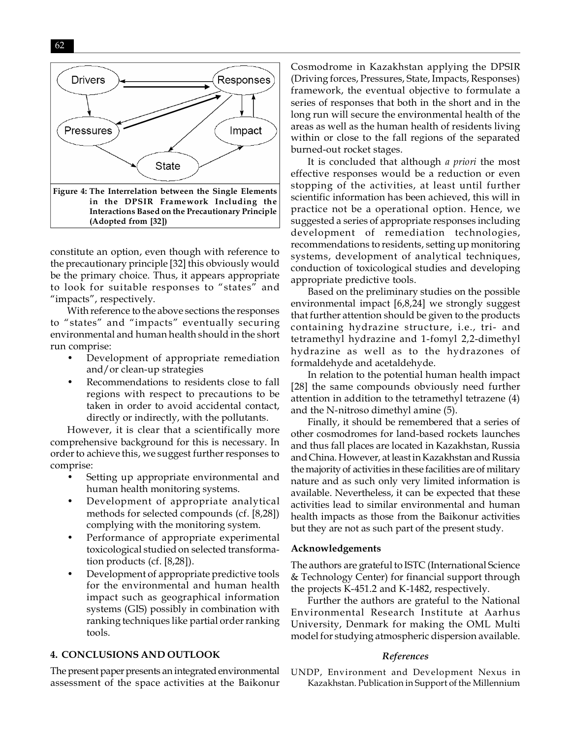

constitute an option, even though with reference to the precautionary principle [32] this obviously would be the primary choice. Thus, it appears appropriate to look for suitable responses to "states" and "impacts", respectively.

With reference to the above sections the responses to "states" and "impacts" eventually securing environmental and human health should in the short run comprise:

- Development of appropriate remediation and/or clean-up strategies
- Recommendations to residents close to fall regions with respect to precautions to be taken in order to avoid accidental contact, directly or indirectly, with the pollutants.

However, it is clear that a scientifically more comprehensive background for this is necessary. In order to achieve this, we suggest further responses to comprise:

- Setting up appropriate environmental and human health monitoring systems.
- Development of appropriate analytical methods for selected compounds (cf. [8,28]) complying with the monitoring system.
- Performance of appropriate experimental toxicological studied on selected transformation products (cf. [8,28]).
- Development of appropriate predictive tools for the environmental and human health impact such as geographical information systems (GIS) possibly in combination with ranking techniques like partial order ranking tools.

### **4. CONCLUSIONS AND OUTLOOK**

The present paper presents an integrated environmental assessment of the space activities at the Baikonur

Cosmodrome in Kazakhstan applying the DPSIR (Driving forces, Pressures, State, Impacts, Responses) framework, the eventual objective to formulate a series of responses that both in the short and in the long run will secure the environmental health of the areas as well as the human health of residents living within or close to the fall regions of the separated burned-out rocket stages.

It is concluded that although *a priori* the most effective responses would be a reduction or even stopping of the activities, at least until further scientific information has been achieved, this will in practice not be a operational option. Hence, we suggested a series of appropriate responses including development of remediation technologies, recommendations to residents, setting up monitoring systems, development of analytical techniques, conduction of toxicological studies and developing appropriate predictive tools.

Based on the preliminary studies on the possible environmental impact [6,8,24] we strongly suggest that further attention should be given to the products containing hydrazine structure, i.e., tri- and tetramethyl hydrazine and 1-fomyl 2,2-dimethyl hydrazine as well as to the hydrazones of formaldehyde and acetaldehyde.

In relation to the potential human health impact [28] the same compounds obviously need further attention in addition to the tetramethyl tetrazene (4) and the N-nitroso dimethyl amine (5).

Finally, it should be remembered that a series of other cosmodromes for land-based rockets launches and thus fall places are located in Kazakhstan, Russia and China. However, at least in Kazakhstan and Russia the majority of activities in these facilities are of military nature and as such only very limited information is available. Nevertheless, it can be expected that these activities lead to similar environmental and human health impacts as those from the Baikonur activities but they are not as such part of the present study.

### **Acknowledgements**

The authors are grateful to ISTC (International Science & Technology Center) for financial support through the projects K-451.2 and K-1482, respectively.

Further the authors are grateful to the National Environmental Research Institute at Aarhus University, Denmark for making the OML Multi model for studying atmospheric dispersion available.

### *References*

UNDP, Environment and Development Nexus in Kazakhstan. Publication in Support of the Millennium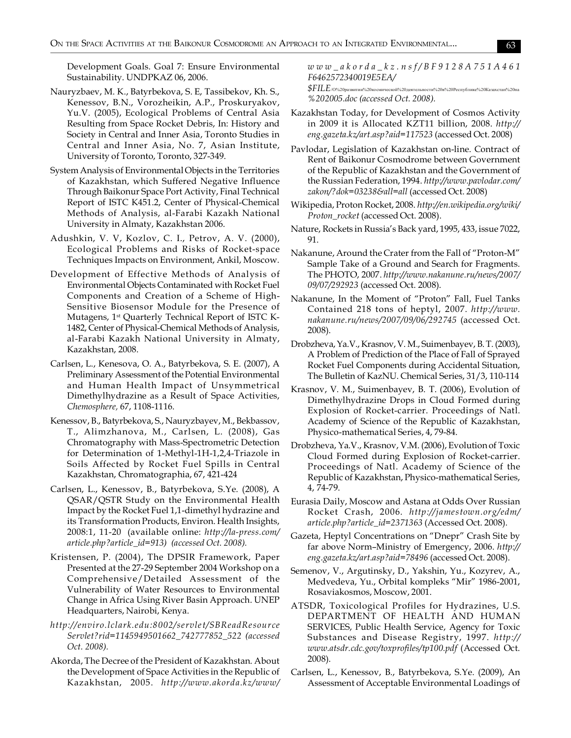Development Goals. Goal 7: Ensure Environmental Sustainability. UNDPKAZ 06, 2006.

- Nauryzbaev, M. K., Batyrbekova, S. E, Tassibekov, Kh. S., Kenessov, B.N., Vorozheikin, A.P., Proskuryakov, Yu.V. (2005), Ecological Problems of Central Asia Resulting from Space Rocket Debris, In: History and Society in Central and Inner Asia, Toronto Studies in Central and Inner Asia, No. 7, Asian Institute, University of Toronto, Toronto, 327-349.
- System Analysis of Environmental Objects in the Territories of Kazakhstan, which Suffered Negative Influence Through Baikonur Space Port Activity, Final Technical Report of ISTC K451.2, Center of Physical-Chemical Methods of Analysis, al-Farabi Kazakh National University in Almaty, Kazakhstan 2006.
- Adushkin, V. V, Kozlov, C. I., Petrov, A. V. (2000), Ecological Problems and Risks of Rocket-space Techniques Impacts on Environment, Ankil, Moscow.
- Development of Effective Methods of Analysis of Environmental Objects Contaminated with Rocket Fuel Components and Creation of a Scheme of High-Sensitive Biosensor Module for the Presence of Mutagens, 1st Quarterly Technical Report of ISTC K-1482, Center of Physical-Chemical Methods of Analysis, al-Farabi Kazakh National University in Almaty, Kazakhstan, 2008.
- Carlsen, L., Kenesova, O. A., Batyrbekova, S. E. (2007), A Preliminary Assessment of the Potential Environmental and Human Health Impact of Unsymmetrical Dimethylhydrazine as a Result of Space Activities, *Chemosphere,* 67, 1108-1116.
- Kenessov, B., Batyrbekova, S., Nauryzbayev, M., Bekbassov, T., Alimzhanova, M., Carlsen, L. (2008), Gas Chromatography with Mass-Spectrometric Detection for Determination of 1-Methyl-1H-1,2,4-Triazole in Soils Affected by Rocket Fuel Spills in Central Kazakhstan, Chromatographia, 67, 421-424
- Carlsen, L., Kenessov, B., Batyrbekova, S.Ye. (2008), A QSAR/QSTR Study on the Environmental Health Impact by the Rocket Fuel 1,1-dimethyl hydrazine and its Transformation Products, Environ. Health Insights, 2008:1, 11-20 (available online: *http://la-press.com/ article.php?article\_id=913) (accessed Oct. 2008).*
- Kristensen, P. (2004), The DPSIR Framework, Paper Presented at the 27-29 September 2004 Workshop on a Comprehensive/Detailed Assessment of the Vulnerability of Water Resources to Environmental Change in Africa Using River Basin Approach. UNEP Headquarters, Nairobi, Kenya.
- *http://enviro.lclark.edu:8002/servlet/SBReadResource Servlet?rid=1145949501662\_742777852\_522 (accessed Oct. 2008).*
- Akorda, The Decree of the President of Kazakhstan. About the Development of Space Activities in the Republic of Kazakhstan, 2005. *http://www.akorda.kz/www/*

*w w w \_ a k o r d a \_ k z . n s f / B F 9 1 2 8 A 7 5 1 A 4 6 1 F6462572340019E5EA/*

 $\$FILE_{/O\%20$ развитии%20космической%20деятельности%20в%20Республике%20Казахстан%20на *%202005.doc (accessed Oct. 2008).*

- Kazakhstan Today, for Development of Cosmos Activity in 2009 it is Allocated KZT11 billion, 2008. *http:// eng.gazeta.kz/art.asp?aid=117523* (accessed Oct. 2008)
- Pavlodar, Legislation of Kazakhstan on-line. Contract of Rent of Baikonur Cosmodrome between Government of the Republic of Kazakhstan and the Government of the Russian Federation, 1994. *http://www.pavlodar.com/ zakon/?dok=03238&all=all* (accessed Oct. 2008)
- Wikipedia, Proton Rocket, 2008. *http://en.wikipedia.org/wiki/ Proton\_rocket* (accessed Oct. 2008).
- Nature, Rockets in Russia's Back yard, 1995, 433, issue 7022, 91.
- Nakanune, Around the Crater from the Fall of "Proton-M" Sample Take of a Ground and Search for Fragments. The PHOTO, 2007. *http://www.nakanune.ru/news/2007/ 09/07/292923* (accessed Oct. 2008).
- Nakanune, In the Moment of "Proton" Fall, Fuel Tanks Contained 218 tons of heptyl, 2007. *http://www. nakanune.ru/news/2007/09/06/292745* (accessed Oct. 2008).
- Drobzheva, Ya.V., Krasnov, V. M., Suimenbayev, B. T. (2003), A Problem of Prediction of the Place of Fall of Sprayed Rocket Fuel Components during Accidental Situation, The Bulletin of KazNU. Chemical Series, 31/3, 110-114
- Krasnov, V. M., Suimenbayev, B. T. (2006), Evolution of Dimethylhydrazine Drops in Cloud Formed during Explosion of Rocket-carrier. Proceedings of Natl. Academy of Science of the Republic of Kazakhstan, Physico-mathematical Series, 4, 79-84.
- Drobzheva, Ya.V., Krasnov, V.M. (2006), Evolution of Toxic Cloud Formed during Explosion of Rocket-carrier. Proceedings of Natl. Academy of Science of the Republic of Kazakhstan, Physico-mathematical Series, 4, 74-79.
- Eurasia Daily, Moscow and Astana at Odds Over Russian Rocket Crash, 2006. *http://jamestown.org/edm/ article.php?article\_id=2371363* (Accessed Oct. 2008).
- Gazeta, Heptyl Concentrations on "Dnepr" Crash Site by far above Norm–Ministry of Emergency, 2006. *http:// eng.gazeta.kz/art.asp?aid=78496* (accessed Oct. 2008).
- Semenov, V., Argutinsky, D., Yakshin, Yu., Kozyrev, A., Medvedeva, Yu., Orbital kompleks "Mir" 1986-2001, Rosaviakosmos, Moscow, 2001.
- ATSDR, Toxicological Profiles for Hydrazines, U.S. DEPARTMENT OF HEALTH AND HUMAN SERVICES, Public Health Service, Agency for Toxic Substances and Disease Registry, 1997. *http:// www.atsdr.cdc.gov/toxprofiles/tp100.pdf* (Accessed Oct. 2008).
- Carlsen, L., Kenessov, B., Batyrbekova, S.Ye. (2009), An Assessment of Acceptable Environmental Loadings of